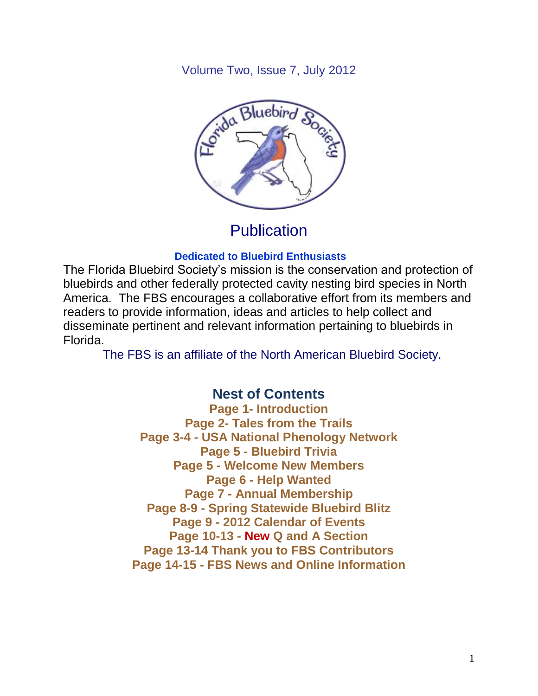Volume Two, Issue 7, July 2012



**Publication** 

### **Dedicated to Bluebird Enthusiasts**

The Florida Bluebird Society's mission is the conservation and protection of bluebirds and other federally protected cavity nesting bird species in North America. The FBS encourages a collaborative effort from its members and readers to provide information, ideas and articles to help collect and disseminate pertinent and relevant information pertaining to bluebirds in Florida.

The FBS is an affiliate of the North American Bluebird Society.

## **Nest of Contents**

**Page 1- Introduction Page 2- Tales from the Trails Page 3-4 - USA National Phenology Network Page 5 - Bluebird Trivia Page 5 - Welcome New Members Page 6 - Help Wanted Page 7 - Annual Membership Page 8-9 - Spring Statewide Bluebird Blitz Page 9 - 2012 Calendar of Events Page 10-13 - New Q and A Section Page 13-14 Thank you to FBS Contributors Page 14-15 - FBS News and Online Information**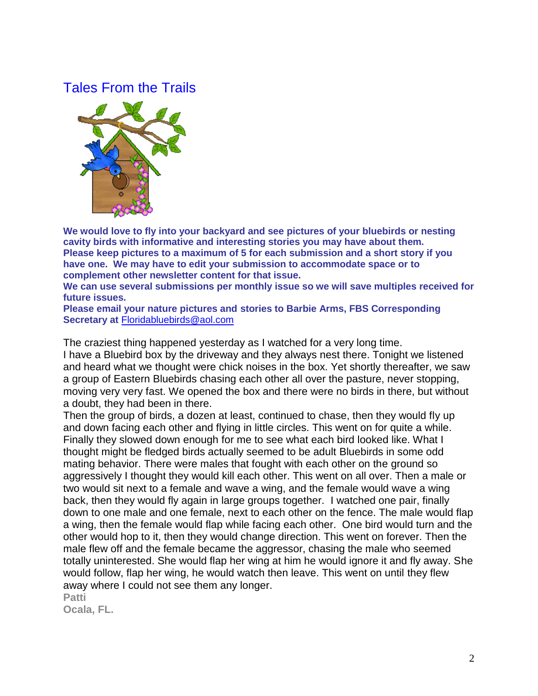## Tales From the Trails



**We would love to fly into your backyard and see pictures of your bluebirds or nesting cavity birds with informative and interesting stories you may have about them. Please keep pictures to a maximum of 5 for each submission and a short story if you have one. We may have to edit your submission to accommodate space or to complement other newsletter content for that issue.**

**We can use several submissions per monthly issue so we will save multiples received for future issues.** 

**Please email your nature pictures and stories to Barbie Arms, FBS Corresponding Secretary at** [Floridabluebirds@aol.com](mailto:Floridabluebirds@aol.com)

The craziest thing happened yesterday as I watched for a very long time. I have a Bluebird box by the driveway and they always nest there. Tonight we listened and heard what we thought were chick noises in the box. Yet shortly thereafter, we saw a group of Eastern Bluebirds chasing each other all over the pasture, never stopping, moving very very fast. We opened the box and there were no birds in there, but without a doubt, they had been in there.

Then the group of birds, a dozen at least, continued to chase, then they would fly up and down facing each other and flying in little circles. This went on for quite a while. Finally they slowed down enough for me to see what each bird looked like. What I thought might be fledged birds actually seemed to be adult Bluebirds in some odd mating behavior. There were males that fought with each other on the ground so aggressively I thought they would kill each other. This went on all over. Then a male or two would sit next to a female and wave a wing, and the female would wave a wing back, then they would fly again in large groups together. I watched one pair, finally down to one male and one female, next to each other on the fence. The male would flap a wing, then the female would flap while facing each other. One bird would turn and the other would hop to it, then they would change direction. This went on forever. Then the male flew off and the female became the aggressor, chasing the male who seemed totally uninterested. She would flap her wing at him he would ignore it and fly away. She would follow, flap her wing, he would watch then leave. This went on until they flew away where I could not see them any longer.

**Patti Ocala, FL.**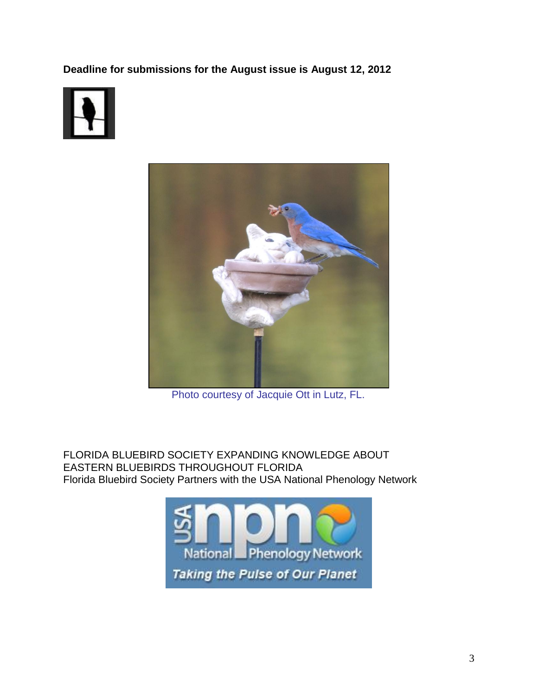**Deadline for submissions for the August issue is August 12, 2012**





Photo courtesy of Jacquie Ott in Lutz, FL.

FLORIDA BLUEBIRD SOCIETY EXPANDING KNOWLEDGE ABOUT EASTERN BLUEBIRDS THROUGHOUT FLORIDA Florida Bluebird Society Partners with the USA National Phenology Network

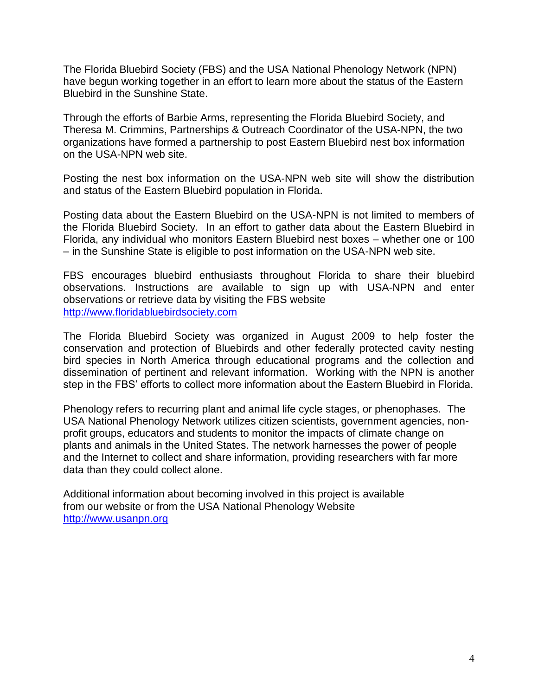The Florida Bluebird Society (FBS) and the USA National Phenology Network (NPN) have begun working together in an effort to learn more about the status of the Eastern Bluebird in the Sunshine State.

Through the efforts of Barbie Arms, representing the Florida Bluebird Society, and Theresa M. Crimmins, Partnerships & Outreach Coordinator of the USA-NPN, the two organizations have formed a partnership to post Eastern Bluebird nest box information on the USA-NPN web site.

Posting the nest box information on the USA-NPN web site will show the distribution and status of the Eastern Bluebird population in Florida.

Posting data about the Eastern Bluebird on the USA-NPN is not limited to members of the Florida Bluebird Society. In an effort to gather data about the Eastern Bluebird in Florida, any individual who monitors Eastern Bluebird nest boxes – whether one or 100 – in the Sunshine State is eligible to post information on the USA-NPN web site.

FBS encourages bluebird enthusiasts throughout Florida to share their bluebird observations. Instructions are available to sign up with USA-NPN and enter observations or retrieve data by visiting the FBS website [http://www.floridabluebirdsociety.com](http://www.floridabluebirdsociety.com/)

The Florida Bluebird Society was organized in August 2009 to help foster the conservation and protection of Bluebirds and other federally protected cavity nesting bird species in North America through educational programs and the collection and dissemination of pertinent and relevant information. Working with the NPN is another step in the FBS' efforts to collect more information about the Eastern Bluebird in Florida.

Phenology refers to recurring plant and animal life cycle stages, or phenophases. The USA National Phenology Network utilizes citizen scientists, government agencies, nonprofit groups, educators and students to monitor the impacts of climate change on plants and animals in the United States. The network harnesses the power of people and the Internet to collect and share information, providing researchers with far more data than they could collect alone.

Additional information about becoming involved in this project is available from our website or from the USA National Phenology Website [http://www.usanpn.org](http://www.usanpn.org/)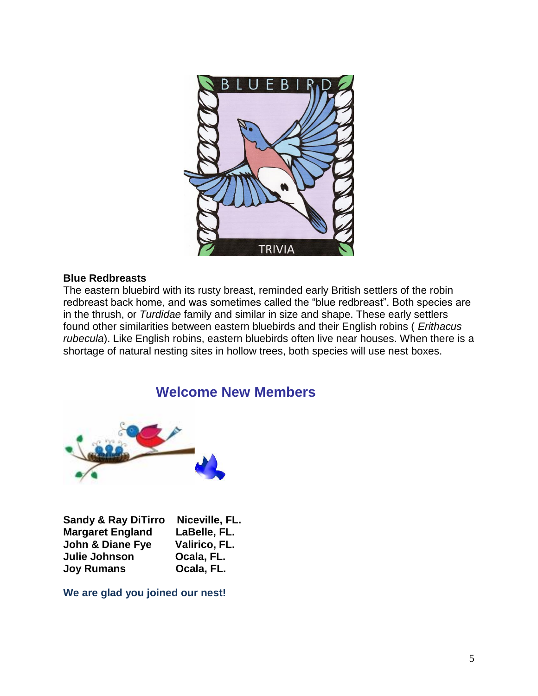

#### **Blue Redbreasts**

The eastern bluebird with its rusty breast, reminded early British settlers of the robin redbreast back home, and was sometimes called the "blue redbreast". Both species are in the thrush, or *Turdidae* family and similar in size and shape. These early settlers found other similarities between eastern bluebirds and their English robins ( *Erithacus rubecula*). Like English robins, eastern bluebirds often live near houses. When there is a shortage of natural nesting sites in hollow trees, both species will use nest boxes.

## **Welcome New Members**



| <b>Sandy &amp; Ray DiTirro</b> | Niceville, FL. |
|--------------------------------|----------------|
| <b>Margaret England</b>        | LaBelle, FL.   |
| <b>John &amp; Diane Fye</b>    | Valirico, FL.  |
| Julie Johnson                  | Ocala, FL.     |
| <b>Joy Rumans</b>              | Ocala, FL.     |

**We are glad you joined our nest!**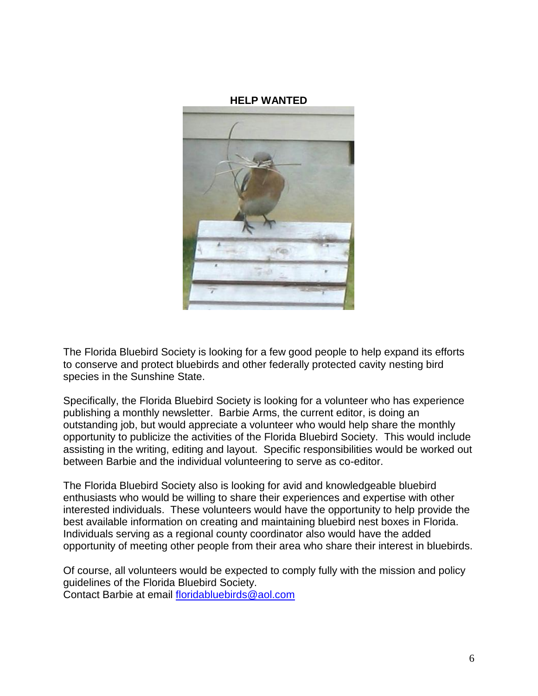#### **HELP WANTED**



The Florida Bluebird Society is looking for a few good people to help expand its efforts to conserve and protect bluebirds and other federally protected cavity nesting bird species in the Sunshine State.

Specifically, the Florida Bluebird Society is looking for a volunteer who has experience publishing a monthly newsletter. Barbie Arms, the current editor, is doing an outstanding job, but would appreciate a volunteer who would help share the monthly opportunity to publicize the activities of the Florida Bluebird Society. This would include assisting in the writing, editing and layout. Specific responsibilities would be worked out between Barbie and the individual volunteering to serve as co-editor.

The Florida Bluebird Society also is looking for avid and knowledgeable bluebird enthusiasts who would be willing to share their experiences and expertise with other interested individuals. These volunteers would have the opportunity to help provide the best available information on creating and maintaining bluebird nest boxes in Florida. Individuals serving as a regional county coordinator also would have the added opportunity of meeting other people from their area who share their interest in bluebirds.

Of course, all volunteers would be expected to comply fully with the mission and policy guidelines of the Florida Bluebird Society.

Contact Barbie at email [floridabluebirds@aol.com](mailto:floridabluebirds@aol.com)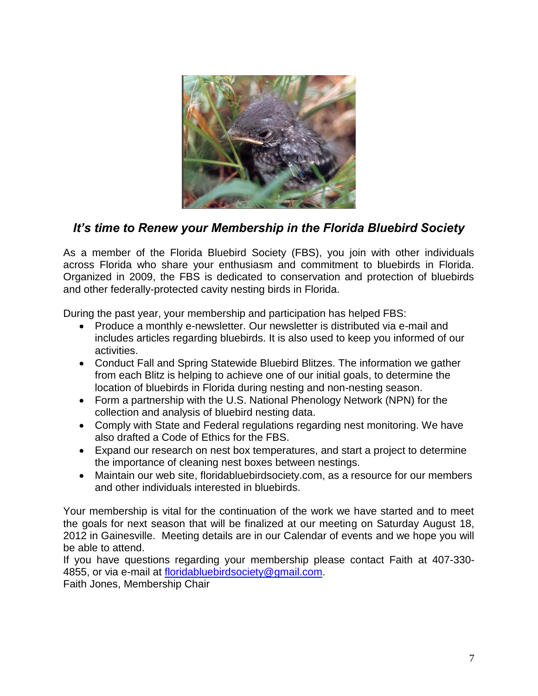

## *It's time to Renew your Membership in the Florida Bluebird Society*

As a member of the Florida Bluebird Society (FBS), you join with other individuals across Florida who share your enthusiasm and commitment to bluebirds in Florida. Organized in 2009, the FBS is dedicated to conservation and protection of bluebirds and other federally-protected cavity nesting birds in Florida.

During the past year, your membership and participation has helped FBS:

- Produce a monthly e-newsletter. Our newsletter is distributed via e-mail and includes articles regarding bluebirds. It is also used to keep you informed of our activities.
- Conduct Fall and Spring Statewide Bluebird Blitzes. The information we gather from each Blitz is helping to achieve one of our initial goals, to determine the location of bluebirds in Florida during nesting and non-nesting season.
- Form a partnership with the U.S. National Phenology Network (NPN) for the collection and analysis of bluebird nesting data.
- Comply with State and Federal regulations regarding nest monitoring. We have also drafted a Code of Ethics for the FBS.
- Expand our research on nest box temperatures, and start a project to determine the importance of cleaning nest boxes between nestings.
- Maintain our web site, floridabluebirdsociety.com, as a resource for our members and other individuals interested in bluebirds.

Your membership is vital for the continuation of the work we have started and to meet the goals for next season that will be finalized at our meeting on Saturday August 18, 2012 in Gainesville. Meeting details are in our Calendar of events and we hope you will be able to attend.

If you have questions regarding your membership please contact Faith at 407-330 4855, or via e-mail at [floridabluebirdsociety@gmail.com.](mailto:floridabluebirdsociety@gmail.com)

Faith Jones, Membership Chair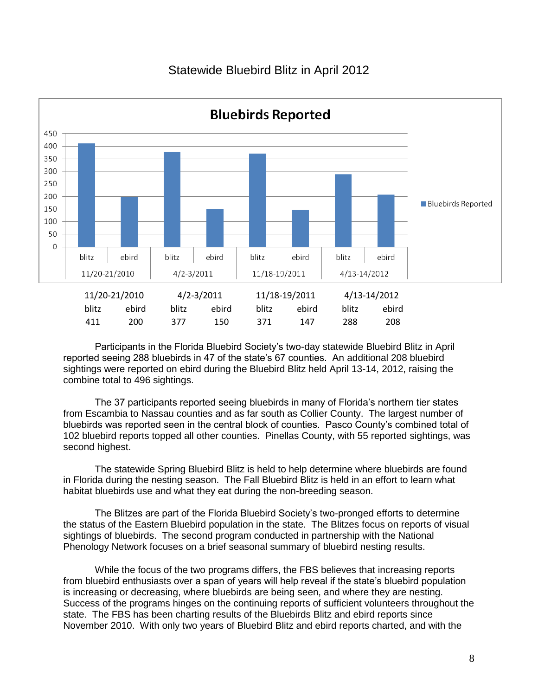### Statewide Bluebird Blitz in April 2012



Participants in the Florida Bluebird Society's two-day statewide Bluebird Blitz in April reported seeing 288 bluebirds in 47 of the state's 67 counties. An additional 208 bluebird sightings were reported on ebird during the Bluebird Blitz held April 13-14, 2012, raising the combine total to 496 sightings.

The 37 participants reported seeing bluebirds in many of Florida's northern tier states from Escambia to Nassau counties and as far south as Collier County. The largest number of bluebirds was reported seen in the central block of counties. Pasco County's combined total of 102 bluebird reports topped all other counties. Pinellas County, with 55 reported sightings, was second highest.

The statewide Spring Bluebird Blitz is held to help determine where bluebirds are found in Florida during the nesting season. The Fall Bluebird Blitz is held in an effort to learn what habitat bluebirds use and what they eat during the non-breeding season.

The Blitzes are part of the Florida Bluebird Society's two-pronged efforts to determine the status of the Eastern Bluebird population in the state. The Blitzes focus on reports of visual sightings of bluebirds. The second program conducted in partnership with the National Phenology Network focuses on a brief seasonal summary of bluebird nesting results.

While the focus of the two programs differs, the FBS believes that increasing reports from bluebird enthusiasts over a span of years will help reveal if the state's bluebird population is increasing or decreasing, where bluebirds are being seen, and where they are nesting. Success of the programs hinges on the continuing reports of sufficient volunteers throughout the state. The FBS has been charting results of the Bluebirds Blitz and ebird reports since November 2010. With only two years of Bluebird Blitz and ebird reports charted, and with the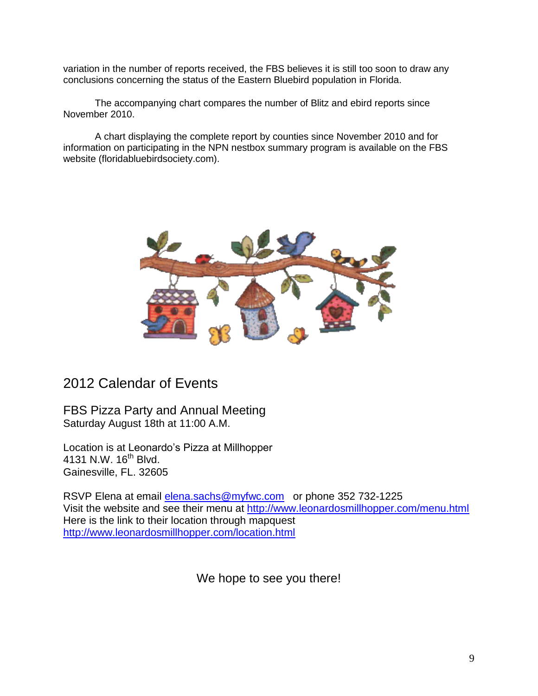variation in the number of reports received, the FBS believes it is still too soon to draw any conclusions concerning the status of the Eastern Bluebird population in Florida.

The accompanying chart compares the number of Blitz and ebird reports since November 2010.

A chart displaying the complete report by counties since November 2010 and for information on participating in the NPN nestbox summary program is available on the FBS website (floridabluebirdsociety.com).



## 2012 Calendar of Events

FBS Pizza Party and Annual Meeting Saturday August 18th at 11:00 A.M.

Location is at Leonardo's Pizza at Millhopper 4131 N.W. 16<sup>th</sup> Blvd. Gainesville, FL. 32605

RSVP Elena at email *elena.sachs@myfwc.com* or phone 352 732-1225 Visit the website and see their menu at <http://www.leonardosmillhopper.com/menu.html> Here is the link to their location through mapquest <http://www.leonardosmillhopper.com/location.html>

We hope to see you there!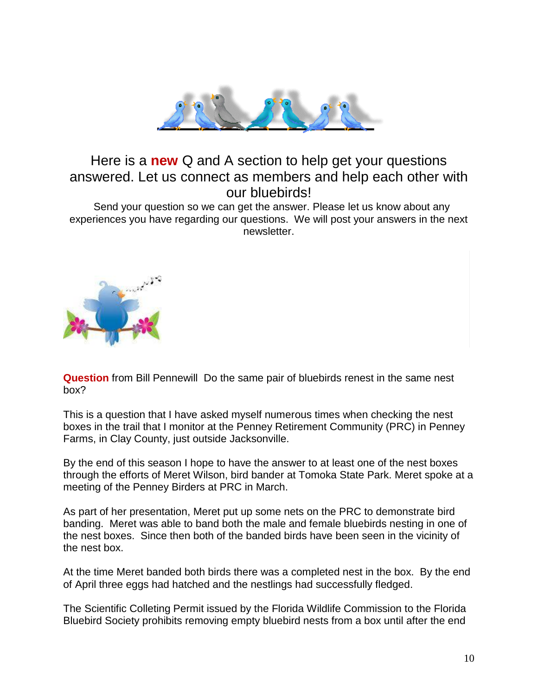

## Here is a **new** Q and A section to help get your questions answered. Let us connect as members and help each other with our bluebirds!

 Send your question so we can get the answer. Please let us know about any experiences you have regarding our questions. We will post your answers in the next newsletter.



**Question** from Bill Pennewill Do the same pair of bluebirds renest in the same nest box?

This is a question that I have asked myself numerous times when checking the nest boxes in the trail that I monitor at the Penney Retirement Community (PRC) in Penney Farms, in Clay County, just outside Jacksonville.

By the end of this season I hope to have the answer to at least one of the nest boxes through the efforts of Meret Wilson, bird bander at Tomoka State Park. Meret spoke at a meeting of the Penney Birders at PRC in March.

As part of her presentation, Meret put up some nets on the PRC to demonstrate bird banding. Meret was able to band both the male and female bluebirds nesting in one of the nest boxes. Since then both of the banded birds have been seen in the vicinity of the nest box.

At the time Meret banded both birds there was a completed nest in the box. By the end of April three eggs had hatched and the nestlings had successfully fledged.

The Scientific Colleting Permit issued by the Florida Wildlife Commission to the Florida Bluebird Society prohibits removing empty bluebird nests from a box until after the end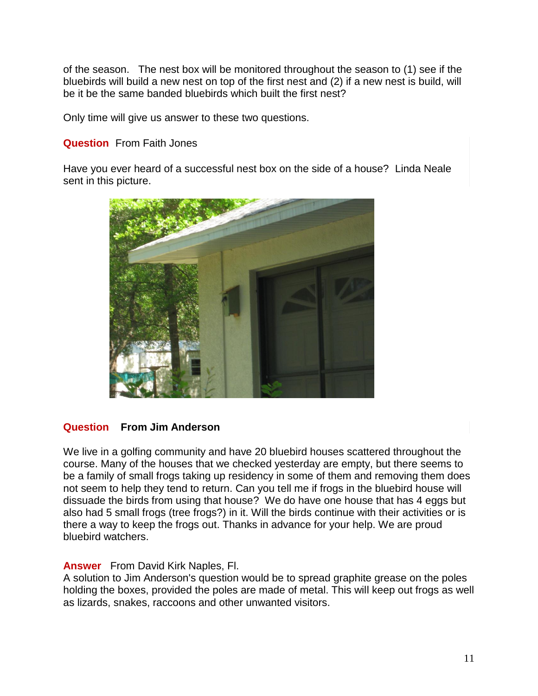of the season. The nest box will be monitored throughout the season to (1) see if the bluebirds will build a new nest on top of the first nest and (2) if a new nest is build, will be it be the same banded bluebirds which built the first nest?

Only time will give us answer to these two questions.

#### **Question** From Faith Jones

Have you ever heard of a successful nest box on the side of a house? Linda Neale sent in this picture.



#### **Question From Jim Anderson**

We live in a golfing community and have 20 bluebird houses scattered throughout the course. Many of the houses that we checked yesterday are empty, but there seems to be a family of small frogs taking up residency in some of them and removing them does not seem to help they tend to return. Can you tell me if frogs in the bluebird house will dissuade the birds from using that house? We do have one house that has 4 eggs but also had 5 small frogs (tree frogs?) in it. Will the birds continue with their activities or is there a way to keep the frogs out. Thanks in advance for your help. We are proud bluebird watchers.

#### **Answer** From David Kirk Naples, Fl.

A solution to Jim Anderson's question would be to spread graphite grease on the poles holding the boxes, provided the poles are made of metal. This will keep out frogs as well as lizards, snakes, raccoons and other unwanted visitors.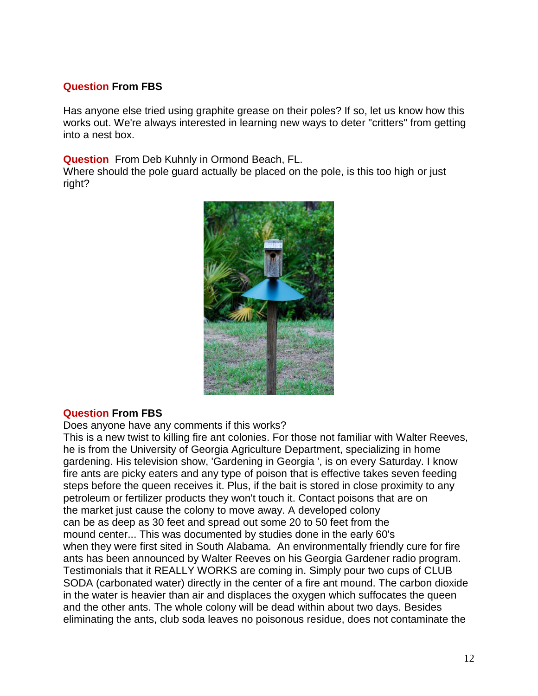#### **Question From FBS**

Has anyone else tried using graphite grease on their poles? If so, let us know how this works out. We're always interested in learning new ways to deter "critters" from getting into a nest box.

**Question** From Deb Kuhnly in Ormond Beach, FL.

Where should the pole guard actually be placed on the pole, is this too high or just right?



#### **Question From FBS**

Does anyone have any comments if this works?

This is a new twist to killing fire ant colonies. For those not familiar with Walter Reeves, he is from the University of Georgia Agriculture Department, specializing in home gardening. His television show, 'Gardening in Georgia ', is on every Saturday. I know fire ants are picky eaters and any type of poison that is effective takes seven feeding steps before the queen receives it. Plus, if the bait is stored in close proximity to any petroleum or fertilizer products they won't touch it. Contact poisons that are on the market just cause the colony to move away. A developed colony can be as deep as 30 feet and spread out some 20 to 50 feet from the mound center... This was documented by studies done in the early 60's when they were first sited in South Alabama. An environmentally friendly cure for fire ants has been announced by Walter Reeves on his Georgia Gardener radio program. Testimonials that it REALLY WORKS are coming in. Simply pour two cups of CLUB SODA (carbonated water) directly in the center of a fire ant mound. The carbon dioxide in the water is heavier than air and displaces the oxygen which suffocates the queen and the other ants. The whole colony will be dead within about two days. Besides eliminating the ants, club soda leaves no poisonous residue, does not contaminate the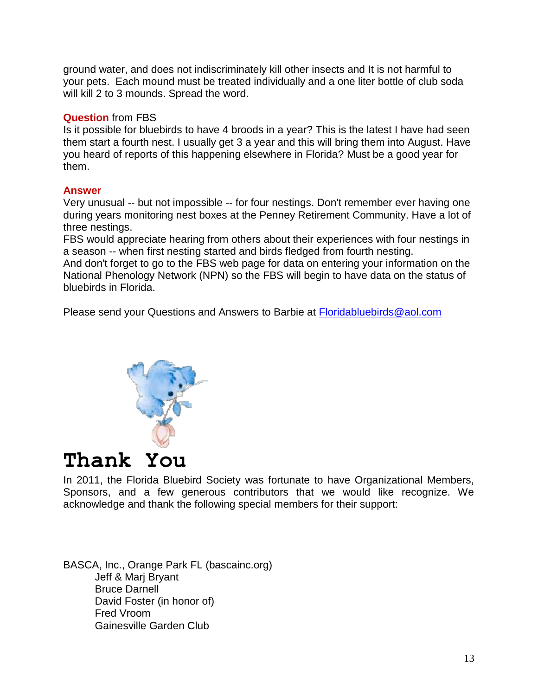ground water, and does not indiscriminately kill other insects and It is not harmful to your pets. Each mound must be treated individually and a one liter bottle of club soda will kill 2 to 3 mounds. Spread the word.

#### **Question** from FBS

Is it possible for bluebirds to have 4 broods in a year? This is the latest I have had seen them start a fourth nest. I usually get 3 a year and this will bring them into August. Have you heard of reports of this happening elsewhere in Florida? Must be a good year for them.

#### **Answer**

Very unusual -- but not impossible -- for four nestings. Don't remember ever having one during years monitoring nest boxes at the Penney Retirement Community. Have a lot of three nestings.

FBS would appreciate hearing from others about their experiences with four nestings in a season -- when first nesting started and birds fledged from fourth nesting.

And don't forget to go to the FBS web page for data on entering your information on the National Phenology Network (NPN) so the FBS will begin to have data on the status of bluebirds in Florida.

Please send your Questions and Answers to Barbie at [Floridabluebirds@aol.com](mailto:Floridabluebirds@aol.com)



# **Thank You**

In 2011, the Florida Bluebird Society was fortunate to have Organizational Members, Sponsors, and a few generous contributors that we would like recognize. We acknowledge and thank the following special members for their support:

BASCA, Inc., Orange Park FL (bascainc.org) Jeff & Marj Bryant Bruce Darnell David Foster (in honor of) Fred Vroom Gainesville Garden Club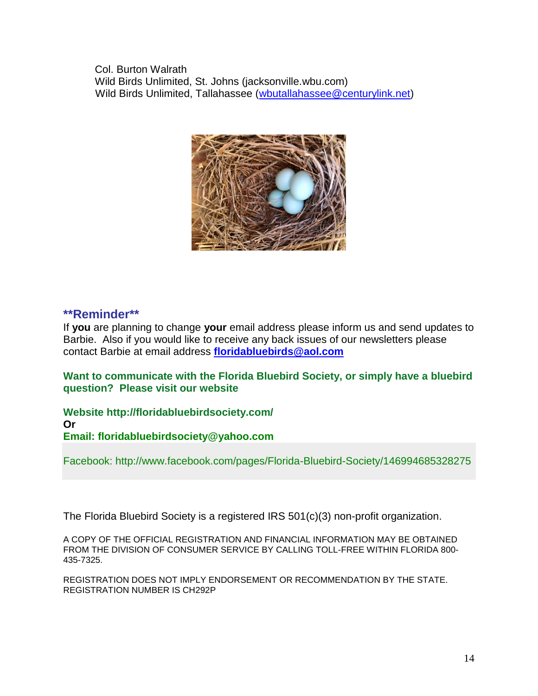Col. Burton Walrath Wild Birds Unlimited, St. Johns (jacksonville.wbu.com) Wild Birds Unlimited, Tallahassee [\(wbutallahassee@centurylink.net\)](mailto:wbutallahassee@centurylink.net)



#### **\*\*Reminder\*\***

If **you** are planning to change **your** email address please inform us and send updates to Barbie. Also if you would like to receive any back issues of our newsletters please contact Barbie at email address **[floridabluebirds@aol.com](mailto:floridabluebirds@aol.com)**

**Want to communicate with the Florida Bluebird Society, or simply have a bluebird question? Please visit our website** 

**Website http://floridabluebirdsociety.com/ Or Email: floridabluebirdsociety@yahoo.com**

Facebook: http://www.facebook.com/pages/Florida-Bluebird-Society/146994685328275

The Florida Bluebird Society is a registered IRS 501(c)(3) non-profit organization.

A COPY OF THE OFFICIAL REGISTRATION AND FINANCIAL INFORMATION MAY BE OBTAINED FROM THE DIVISION OF CONSUMER SERVICE BY CALLING TOLL-FREE WITHIN FLORIDA 800- 435-7325.

REGISTRATION DOES NOT IMPLY ENDORSEMENT OR RECOMMENDATION BY THE STATE. REGISTRATION NUMBER IS CH292P